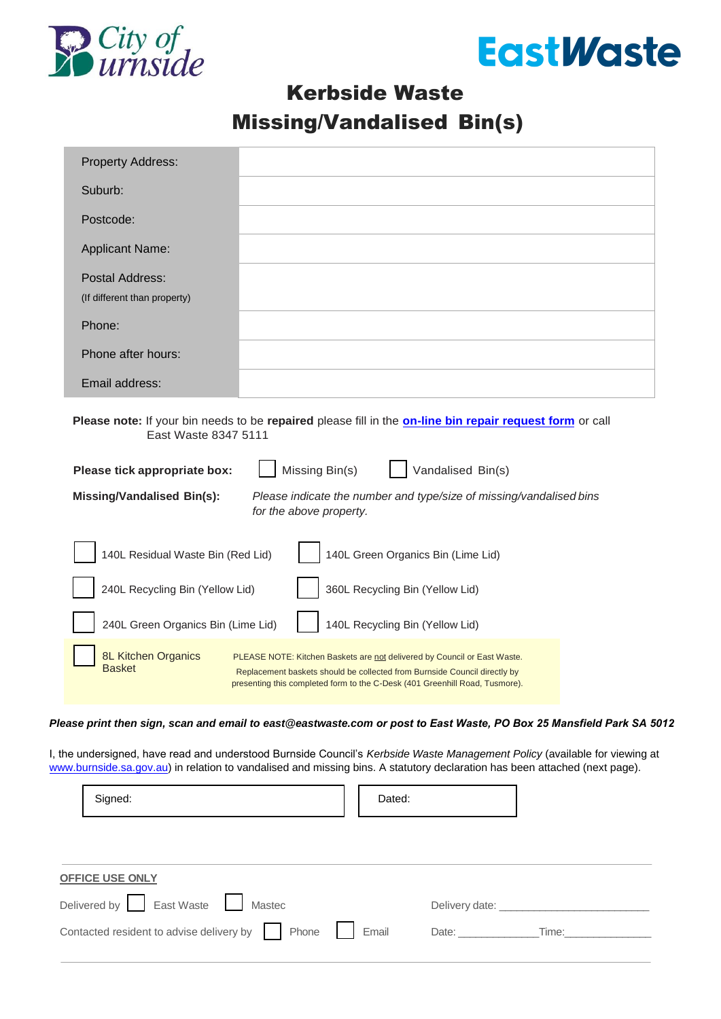



## Kerbside Waste Missing/Vandalised Bin(s)

| <b>Property Address:</b>                                                                                                                                                                                                                                                     |  |  |  |  |  |
|------------------------------------------------------------------------------------------------------------------------------------------------------------------------------------------------------------------------------------------------------------------------------|--|--|--|--|--|
| Suburb:                                                                                                                                                                                                                                                                      |  |  |  |  |  |
| Postcode:                                                                                                                                                                                                                                                                    |  |  |  |  |  |
| <b>Applicant Name:</b>                                                                                                                                                                                                                                                       |  |  |  |  |  |
| Postal Address:<br>(If different than property)                                                                                                                                                                                                                              |  |  |  |  |  |
| Phone:                                                                                                                                                                                                                                                                       |  |  |  |  |  |
| Phone after hours:                                                                                                                                                                                                                                                           |  |  |  |  |  |
| Email address:                                                                                                                                                                                                                                                               |  |  |  |  |  |
| East Waste 8347 5111<br>Missing Bin(s)<br>Vandalised Bin(s)<br>Please tick appropriate box:<br><b>Missing/Vandalised Bin(s):</b><br>Please indicate the number and type/size of missing/vandalised bins<br>for the above property.                                           |  |  |  |  |  |
| 140L Residual Waste Bin (Red Lid)<br>140L Green Organics Bin (Lime Lid)                                                                                                                                                                                                      |  |  |  |  |  |
| 240L Recycling Bin (Yellow Lid)<br>360L Recycling Bin (Yellow Lid)                                                                                                                                                                                                           |  |  |  |  |  |
| 240L Green Organics Bin (Lime Lid)<br>140L Recycling Bin (Yellow Lid)                                                                                                                                                                                                        |  |  |  |  |  |
| 8L Kitchen Organics<br>PLEASE NOTE: Kitchen Baskets are not delivered by Council or East Waste.<br><b>Basket</b><br>Replacement baskets should be collected from Burnside Council directly by<br>presenting this completed form to the C-Desk (401 Greenhill Road, Tusmore). |  |  |  |  |  |
| Please print then sign, scan and email to east@eastwaste.com or post to East Waste, PO Box 25 Mansfield Park SA 5012                                                                                                                                                         |  |  |  |  |  |
| I, the undersigned, have read and understood Burnside Council's Kerbside Waste Management Policy (available for viewing at<br>www.burnside.sa.gov.au) in relation to vandalised and missing bins. A statutory declaration has been attached (next page).                     |  |  |  |  |  |
| Signed:<br>Dated:                                                                                                                                                                                                                                                            |  |  |  |  |  |

| <b>OFFICE USE ONLY</b>                                     |  |                                                                                                                                                                                                                                                                                                                                                                                                                                                                  |  |  |
|------------------------------------------------------------|--|------------------------------------------------------------------------------------------------------------------------------------------------------------------------------------------------------------------------------------------------------------------------------------------------------------------------------------------------------------------------------------------------------------------------------------------------------------------|--|--|
| Delivered by East Waste Mastec                             |  | Delivery date: New York 1999                                                                                                                                                                                                                                                                                                                                                                                                                                     |  |  |
| Contacted resident to advise delivery by     Phone   Email |  | Date: the contract of the contract of the contract of the contract of the contract of the contract of the contract of the contract of the contract of the contract of the contract of the contract of the contract of the cont<br>Time: The contract of the contract of the contract of the contract of the contract of the contract of the contract of the contract of the contract of the contract of the contract of the contract of the contract of the cont |  |  |